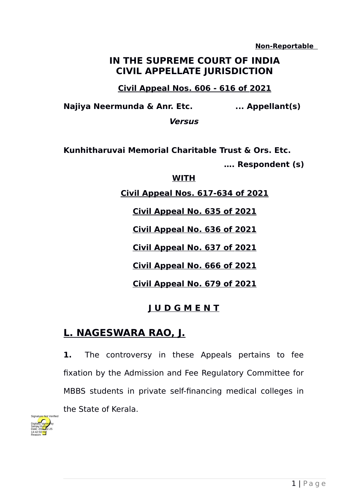**Non-Reportable** 

## **IN THE SUPREME COURT OF INDIA CIVIL APPELLATE JURISDICTION**

**Civil Appeal Nos. 606 - 616 of 2021** 

**Najiya Neermunda & Anr. Etc. ... Appellant(s)**

**Versus**

**Kunhitharuvai Memorial Charitable Trust & Ors. Etc. …. Respondent (s)**

**WITH**

**Civil Appeal Nos. 617-634 of 2021** 

**Civil Appeal No. 635 of 2021** 

**Civil Appeal No. 636 of 2021** 

**Civil Appeal No. 637 of 2021** 

**Civil Appeal No. 666 of 2021** 

**Civil Appeal No. 679 of 2021** 

## **J U D G M E N T**

## **L. NAGESWARA RAO, J.**

**1.** The controversy in these Appeals pertains to fee fixation by the Admission and Fee Regulatory Committee for MBBS students in private self-financing medical colleges in the State of Kerala.

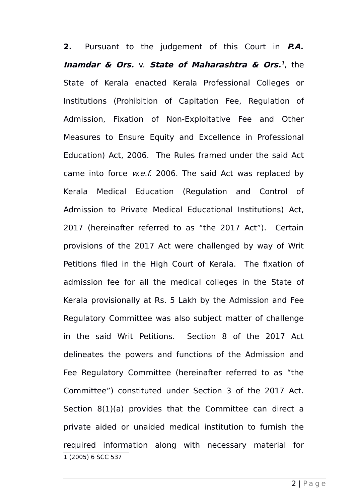<span id="page-1-0"></span>**2.** Pursuant to the judgement of this Court in **P.A. Inamdar & Ors.** v. **State of Maharashtra & Ors. [1](#page-1-0)** , the State of Kerala enacted Kerala Professional Colleges or Institutions (Prohibition of Capitation Fee, Regulation of Admission, Fixation of Non-Exploitative Fee and Other Measures to Ensure Equity and Excellence in Professional Education) Act, 2006. The Rules framed under the said Act came into force *w.e.f.* 2006. The said Act was replaced by Kerala Medical Education (Regulation and Control of Admission to Private Medical Educational Institutions) Act, 2017 (hereinafter referred to as "the 2017 Act"). Certain provisions of the 2017 Act were challenged by way of Writ Petitions filed in the High Court of Kerala. The fixation of admission fee for all the medical colleges in the State of Kerala provisionally at Rs. 5 Lakh by the Admission and Fee Regulatory Committee was also subject matter of challenge in the said Writ Petitions. Section 8 of the 2017 Act delineates the powers and functions of the Admission and Fee Regulatory Committee (hereinafter referred to as "the Committee") constituted under Section 3 of the 2017 Act. Section 8(1)(a) provides that the Committee can direct a private aided or unaided medical institution to furnish the required information along with necessary material for 1 (2005) 6 SCC 537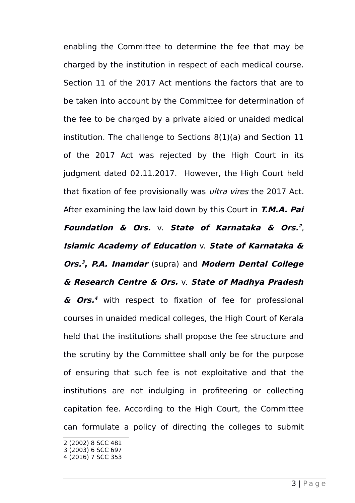enabling the Committee to determine the fee that may be charged by the institution in respect of each medical course. Section 11 of the 2017 Act mentions the factors that are to be taken into account by the Committee for determination of the fee to be charged by a private aided or unaided medical institution. The challenge to Sections 8(1)(a) and Section 11 of the 2017 Act was rejected by the High Court in its judgment dated 02.11.2017. However, the High Court held that fixation of fee provisionally was *ultra vires* the 2017 Act. After examining the law laid down by this Court in **T.M.A. Pai Foundation & Ors.** v. **State of Karnataka & Ors. [2](#page-2-0)** , **Islamic Academy of Education** v. **State of Karnataka & Ors. [3](#page-2-1) , P.A. Inamdar** (supra) and **Modern Dental College & Research Centre & Ors.** v. **State of Madhya Pradesh & Ors. [4](#page-2-2)** with respect to fixation of fee for professional courses in unaided medical colleges, the High Court of Kerala held that the institutions shall propose the fee structure and the scrutiny by the Committee shall only be for the purpose of ensuring that such fee is not exploitative and that the institutions are not indulging in profiteering or collecting capitation fee. According to the High Court, the Committee can formulate a policy of directing the colleges to submit

<span id="page-2-0"></span><sup>2</sup> (2002) 8 SCC 481

<span id="page-2-1"></span><sup>3</sup> (2003) 6 SCC 697

<span id="page-2-2"></span><sup>4</sup> (2016) 7 SCC 353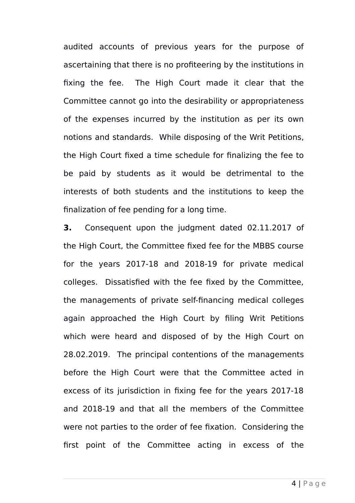audited accounts of previous years for the purpose of ascertaining that there is no profiteering by the institutions in fixing the fee. The High Court made it clear that the Committee cannot go into the desirability or appropriateness of the expenses incurred by the institution as per its own notions and standards. While disposing of the Writ Petitions, the High Court fixed a time schedule for finalizing the fee to be paid by students as it would be detrimental to the interests of both students and the institutions to keep the finalization of fee pending for a long time.

**3.** Consequent upon the judgment dated 02.11.2017 of the High Court, the Committee fixed fee for the MBBS course for the years 2017-18 and 2018-19 for private medical colleges. Dissatisfied with the fee fixed by the Committee, the managements of private self-financing medical colleges again approached the High Court by filing Writ Petitions which were heard and disposed of by the High Court on 28.02.2019. The principal contentions of the managements before the High Court were that the Committee acted in excess of its jurisdiction in fixing fee for the years 2017-18 and 2018-19 and that all the members of the Committee were not parties to the order of fee fixation. Considering the first point of the Committee acting in excess of the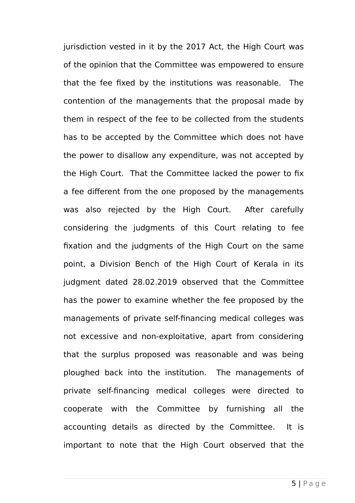jurisdiction vested in it by the 2017 Act, the High Court was of the opinion that the Committee was empowered to ensure that the fee fixed by the institutions was reasonable. The contention of the managements that the proposal made by them in respect of the fee to be collected from the students has to be accepted by the Committee which does not have the power to disallow any expenditure, was not accepted by the High Court. That the Committee lacked the power to fix a fee different from the one proposed by the managements was also rejected by the High Court. After carefully considering the judgments of this Court relating to fee fixation and the judgments of the High Court on the same point, a Division Bench of the High Court of Kerala in its judgment dated 28.02.2019 observed that the Committee has the power to examine whether the fee proposed by the managements of private self-financing medical colleges was not excessive and non-exploitative, apart from considering that the surplus proposed was reasonable and was being ploughed back into the institution. The managements of private self-financing medical colleges were directed to cooperate with the Committee by furnishing all the accounting details as directed by the Committee. It is important to note that the High Court observed that the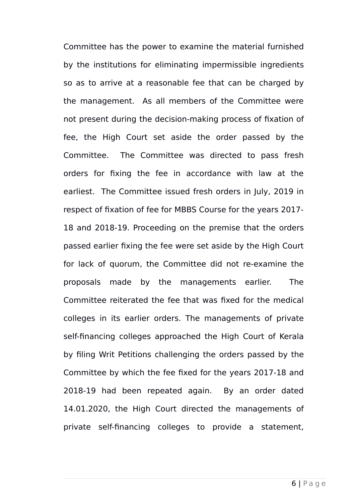Committee has the power to examine the material furnished by the institutions for eliminating impermissible ingredients so as to arrive at a reasonable fee that can be charged by the management. As all members of the Committee were not present during the decision-making process of fixation of fee, the High Court set aside the order passed by the Committee. The Committee was directed to pass fresh orders for fixing the fee in accordance with law at the earliest. The Committee issued fresh orders in July, 2019 in respect of fixation of fee for MBBS Course for the years 2017- 18 and 2018-19. Proceeding on the premise that the orders passed earlier fixing the fee were set aside by the High Court for lack of quorum, the Committee did not re-examine the proposals made by the managements earlier. The Committee reiterated the fee that was fixed for the medical colleges in its earlier orders. The managements of private self-financing colleges approached the High Court of Kerala by filing Writ Petitions challenging the orders passed by the Committee by which the fee fixed for the years 2017-18 and 2018-19 had been repeated again. By an order dated 14.01.2020, the High Court directed the managements of private self-financing colleges to provide a statement,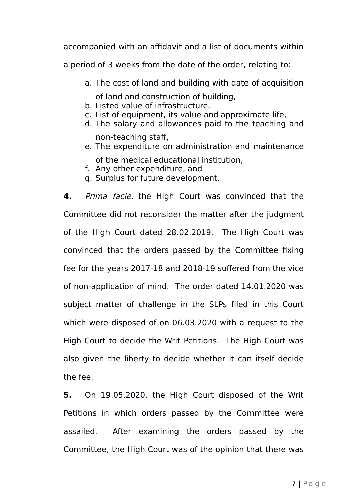accompanied with an affidavit and a list of documents within

a period of 3 weeks from the date of the order, relating to:

- a. The cost of land and building with date of acquisition of land and construction of building,
- b. Listed value of infrastructure,
- c. List of equipment, its value and approximate life,
- d. The salary and allowances paid to the teaching and
- non-teaching staff, e. The expenditure on administration and maintenance
	- of the medical educational institution,
- f. Any other expenditure, and
- g. Surplus for future development.

**4.** Prima facie, the High Court was convinced that the Committee did not reconsider the matter after the judgment of the High Court dated 28.02.2019. The High Court was convinced that the orders passed by the Committee fixing fee for the years 2017-18 and 2018-19 suffered from the vice of non-application of mind. The order dated 14.01.2020 was subject matter of challenge in the SLPs filed in this Court which were disposed of on 06.03.2020 with a request to the High Court to decide the Writ Petitions. The High Court was also given the liberty to decide whether it can itself decide the fee.

**5.** On 19.05.2020, the High Court disposed of the Writ Petitions in which orders passed by the Committee were assailed. After examining the orders passed by the Committee, the High Court was of the opinion that there was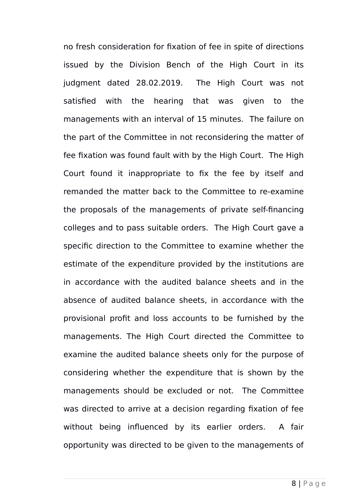no fresh consideration for fixation of fee in spite of directions issued by the Division Bench of the High Court in its judgment dated 28.02.2019. The High Court was not satisfied with the hearing that was given to the managements with an interval of 15 minutes. The failure on the part of the Committee in not reconsidering the matter of fee fixation was found fault with by the High Court. The High Court found it inappropriate to fix the fee by itself and remanded the matter back to the Committee to re-examine the proposals of the managements of private self-financing colleges and to pass suitable orders. The High Court gave a specific direction to the Committee to examine whether the estimate of the expenditure provided by the institutions are in accordance with the audited balance sheets and in the absence of audited balance sheets, in accordance with the provisional profit and loss accounts to be furnished by the managements. The High Court directed the Committee to examine the audited balance sheets only for the purpose of considering whether the expenditure that is shown by the managements should be excluded or not. The Committee was directed to arrive at a decision regarding fixation of fee without being influenced by its earlier orders. A fair opportunity was directed to be given to the managements of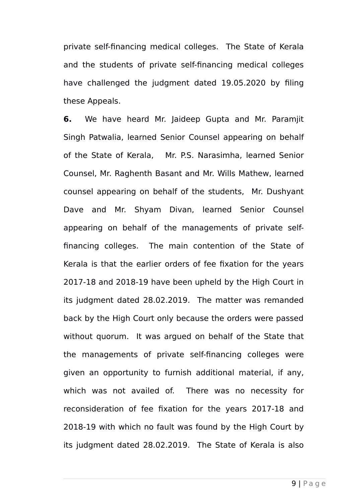private self-financing medical colleges. The State of Kerala and the students of private self-financing medical colleges have challenged the judgment dated 19.05.2020 by filing these Appeals.

**6.** We have heard Mr. Jaideep Gupta and Mr. Paramjit Singh Patwalia, learned Senior Counsel appearing on behalf of the State of Kerala, Mr. P.S. Narasimha, learned Senior Counsel, Mr. Raghenth Basant and Mr. Wills Mathew, learned counsel appearing on behalf of the students, Mr. Dushyant Dave and Mr. Shyam Divan, learned Senior Counsel appearing on behalf of the managements of private selffinancing colleges. The main contention of the State of Kerala is that the earlier orders of fee fixation for the years 2017-18 and 2018-19 have been upheld by the High Court in its judgment dated 28.02.2019. The matter was remanded back by the High Court only because the orders were passed without quorum. It was arqued on behalf of the State that the managements of private self-financing colleges were given an opportunity to furnish additional material, if any, which was not availed of. There was no necessity for reconsideration of fee fixation for the years 2017-18 and 2018-19 with which no fault was found by the High Court by its judgment dated 28.02.2019. The State of Kerala is also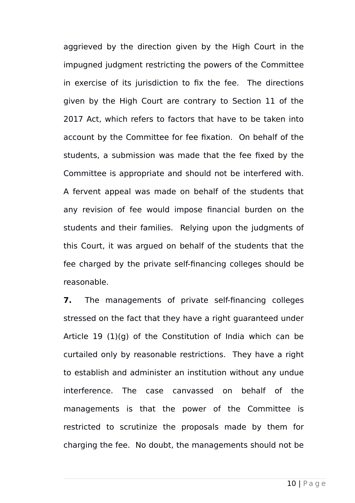aggrieved by the direction given by the High Court in the impugned judgment restricting the powers of the Committee in exercise of its jurisdiction to fix the fee. The directions given by the High Court are contrary to Section 11 of the 2017 Act, which refers to factors that have to be taken into account by the Committee for fee fixation. On behalf of the students, a submission was made that the fee fixed by the Committee is appropriate and should not be interfered with. A fervent appeal was made on behalf of the students that any revision of fee would impose financial burden on the students and their families. Relying upon the judgments of this Court, it was argued on behalf of the students that the fee charged by the private self-financing colleges should be reasonable.

**7.** The managements of private self-financing colleges stressed on the fact that they have a right guaranteed under Article 19 (1)(g) of the Constitution of India which can be curtailed only by reasonable restrictions. They have a right to establish and administer an institution without any undue interference. The case canvassed on behalf of the managements is that the power of the Committee is restricted to scrutinize the proposals made by them for charging the fee. No doubt, the managements should not be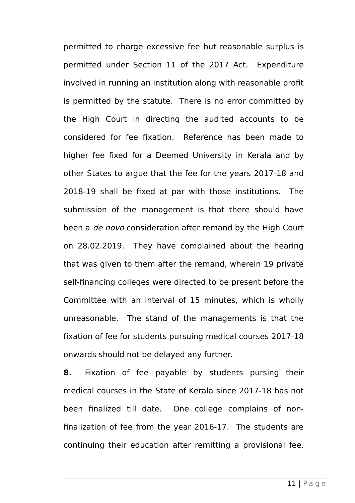permitted to charge excessive fee but reasonable surplus is permitted under Section 11 of the 2017 Act. Expenditure involved in running an institution along with reasonable profit is permitted by the statute. There is no error committed by the High Court in directing the audited accounts to be considered for fee fixation. Reference has been made to higher fee fixed for a Deemed University in Kerala and by other States to argue that the fee for the years 2017-18 and 2018-19 shall be fixed at par with those institutions. The submission of the management is that there should have been a *de novo* consideration after remand by the High Court on 28.02.2019. They have complained about the hearing that was given to them after the remand, wherein 19 private self-financing colleges were directed to be present before the Committee with an interval of 15 minutes, which is wholly unreasonable. The stand of the managements is that the fixation of fee for students pursuing medical courses 2017-18 onwards should not be delayed any further.

**8.** Fixation of fee payable by students pursing their medical courses in the State of Kerala since 2017-18 has not been finalized till date. One college complains of nonfinalization of fee from the year 2016-17. The students are continuing their education after remitting a provisional fee.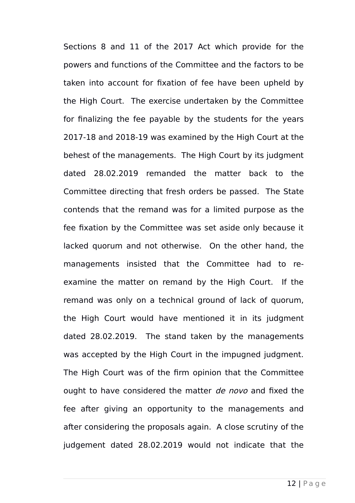Sections 8 and 11 of the 2017 Act which provide for the powers and functions of the Committee and the factors to be taken into account for fixation of fee have been upheld by the High Court. The exercise undertaken by the Committee for finalizing the fee payable by the students for the years 2017-18 and 2018-19 was examined by the High Court at the behest of the managements. The High Court by its judgment dated 28.02.2019 remanded the matter back to the Committee directing that fresh orders be passed. The State contends that the remand was for a limited purpose as the fee fixation by the Committee was set aside only because it lacked quorum and not otherwise. On the other hand, the managements insisted that the Committee had to reexamine the matter on remand by the High Court. If the remand was only on a technical ground of lack of quorum, the High Court would have mentioned it in its judgment dated 28.02.2019. The stand taken by the managements was accepted by the High Court in the impugned judgment. The High Court was of the firm opinion that the Committee ought to have considered the matter de novo and fixed the fee after giving an opportunity to the managements and after considering the proposals again. A close scrutiny of the judgement dated 28.02.2019 would not indicate that the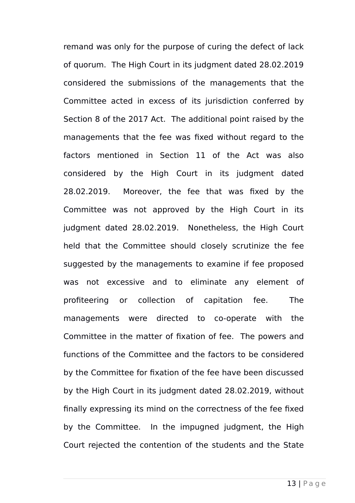remand was only for the purpose of curing the defect of lack of quorum. The High Court in its judgment dated 28.02.2019 considered the submissions of the managements that the Committee acted in excess of its jurisdiction conferred by Section 8 of the 2017 Act. The additional point raised by the managements that the fee was fixed without regard to the factors mentioned in Section 11 of the Act was also considered by the High Court in its judgment dated 28.02.2019. Moreover, the fee that was fixed by the Committee was not approved by the High Court in its judgment dated 28.02.2019. Nonetheless, the High Court held that the Committee should closely scrutinize the fee suggested by the managements to examine if fee proposed was not excessive and to eliminate any element of profiteering or collection of capitation fee. The managements were directed to co-operate with the Committee in the matter of fixation of fee. The powers and functions of the Committee and the factors to be considered by the Committee for fixation of the fee have been discussed by the High Court in its judgment dated 28.02.2019, without finally expressing its mind on the correctness of the fee fixed by the Committee. In the impugned judgment, the High Court rejected the contention of the students and the State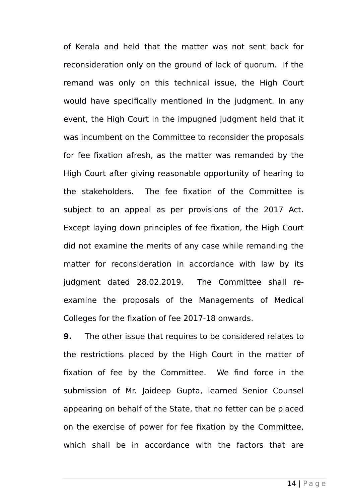of Kerala and held that the matter was not sent back for reconsideration only on the ground of lack of quorum. If the remand was only on this technical issue, the High Court would have specifically mentioned in the judgment. In any event, the High Court in the impugned judgment held that it was incumbent on the Committee to reconsider the proposals for fee fixation afresh, as the matter was remanded by the High Court after giving reasonable opportunity of hearing to the stakeholders. The fee fixation of the Committee is subject to an appeal as per provisions of the 2017 Act. Except laying down principles of fee fixation, the High Court did not examine the merits of any case while remanding the matter for reconsideration in accordance with law by its judgment dated 28.02.2019. The Committee shall reexamine the proposals of the Managements of Medical Colleges for the fixation of fee 2017-18 onwards.

**9.** The other issue that requires to be considered relates to the restrictions placed by the High Court in the matter of fixation of fee by the Committee. We find force in the submission of Mr. Jaideep Gupta, learned Senior Counsel appearing on behalf of the State, that no fetter can be placed on the exercise of power for fee fixation by the Committee, which shall be in accordance with the factors that are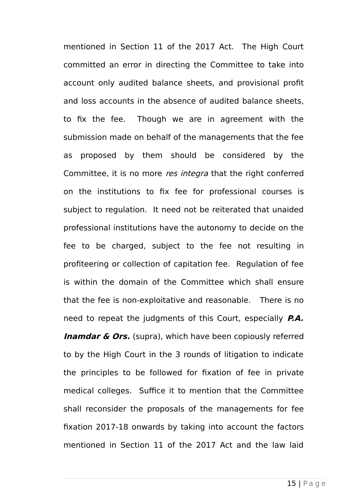mentioned in Section 11 of the 2017 Act. The High Court committed an error in directing the Committee to take into account only audited balance sheets, and provisional profit and loss accounts in the absence of audited balance sheets, to fix the fee. Though we are in agreement with the submission made on behalf of the managements that the fee as proposed by them should be considered by the Committee, it is no more res integra that the right conferred on the institutions to fix fee for professional courses is subject to regulation. It need not be reiterated that unaided professional institutions have the autonomy to decide on the fee to be charged, subject to the fee not resulting in profiteering or collection of capitation fee. Regulation of fee is within the domain of the Committee which shall ensure that the fee is non-exploitative and reasonable. There is no need to repeat the judgments of this Court, especially **P.A. Inamdar & Ors.** (supra), which have been copiously referred to by the High Court in the 3 rounds of litigation to indicate the principles to be followed for fixation of fee in private medical colleges. Suffice it to mention that the Committee shall reconsider the proposals of the managements for fee fixation 2017-18 onwards by taking into account the factors mentioned in Section 11 of the 2017 Act and the law laid